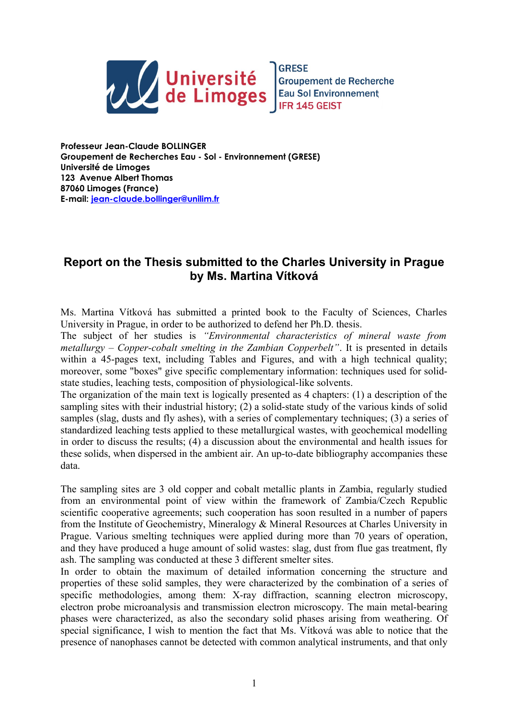

**Professeur Jean-Claude BOLLINGER Groupement de Recherches Eau - Sol - Environnement (GRESE) Université de Limoges 123 Avenue Albert Thomas 87060 Limoges (France) E-mail: [jean-claude.bollinger@unilim.fr](mailto:jean-claude.bollinger@unilim.fr)**

## **Report on the Thesis submitted to the Charles University in Prague by Ms. Martina Vítková**

Ms. Martina Vítková has submitted a printed book to the Faculty of Sciences, Charles University in Prague, in order to be authorized to defend her Ph.D. thesis.

The subject of her studies is *"Environmental characteristics of mineral waste from metallurgy ‒ Copper-cobalt smelting in the Zambian Copperbelt"*. It is presented in details within a 45-pages text, including Tables and Figures, and with a high technical quality; moreover, some "boxes" give specific complementary information: techniques used for solidstate studies, leaching tests, composition of physiological-like solvents.

The organization of the main text is logically presented as 4 chapters: (1) a description of the sampling sites with their industrial history; (2) a solid-state study of the various kinds of solid samples (slag, dusts and fly ashes), with a series of complementary techniques; (3) a series of standardized leaching tests applied to these metallurgical wastes, with geochemical modelling in order to discuss the results; (4) a discussion about the environmental and health issues for these solids, when dispersed in the ambient air. An up-to-date bibliography accompanies these data.

The sampling sites are 3 old copper and cobalt metallic plants in Zambia, regularly studied from an environmental point of view within the framework of Zambia/Czech Republic scientific cooperative agreements; such cooperation has soon resulted in a number of papers from the Institute of Geochemistry, Mineralogy & Mineral Resources at Charles University in Prague. Various smelting techniques were applied during more than 70 years of operation, and they have produced a huge amount of solid wastes: slag, dust from flue gas treatment, fly ash. The sampling was conducted at these 3 different smelter sites.

In order to obtain the maximum of detailed information concerning the structure and properties of these solid samples, they were characterized by the combination of a series of specific methodologies, among them: X-ray diffraction, scanning electron microscopy, electron probe microanalysis and transmission electron microscopy. The main metal-bearing phases were characterized, as also the secondary solid phases arising from weathering. Of special significance, I wish to mention the fact that Ms. Vítková was able to notice that the presence of nanophases cannot be detected with common analytical instruments, and that only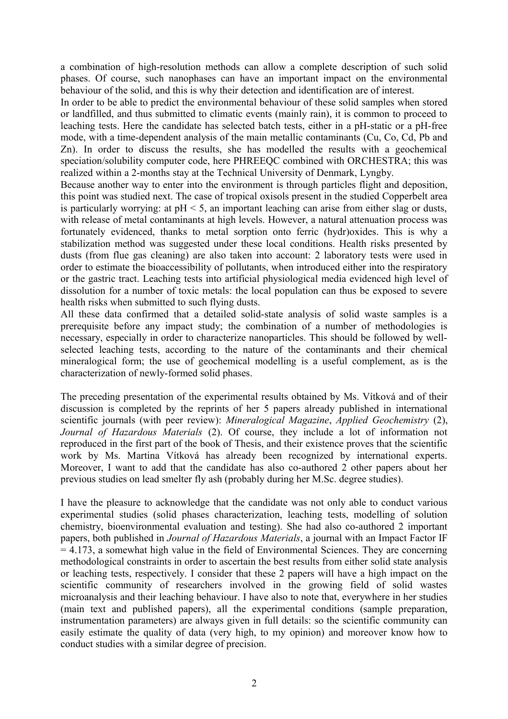a combination of high-resolution methods can allow a complete description of such solid phases. Of course, such nanophases can have an important impact on the environmental behaviour of the solid, and this is why their detection and identification are of interest.

In order to be able to predict the environmental behaviour of these solid samples when stored or landfilled, and thus submitted to climatic events (mainly rain), it is common to proceed to leaching tests. Here the candidate has selected batch tests, either in a pH-static or a pH-free mode, with a time-dependent analysis of the main metallic contaminants (Cu, Co, Cd, Pb and Zn). In order to discuss the results, she has modelled the results with a geochemical speciation/solubility computer code, here PHREEQC combined with ORCHESTRA; this was realized within a 2-months stay at the Technical University of Denmark, Lyngby.

Because another way to enter into the environment is through particles flight and deposition, this point was studied next. The case of tropical oxisols present in the studied Copperbelt area is particularly worrying: at  $pH < 5$ , an important leaching can arise from either slag or dusts, with release of metal contaminants at high levels. However, a natural attenuation process was fortunately evidenced, thanks to metal sorption onto ferric (hydr)oxides. This is why a stabilization method was suggested under these local conditions. Health risks presented by dusts (from flue gas cleaning) are also taken into account: 2 laboratory tests were used in order to estimate the bioaccessibility of pollutants, when introduced either into the respiratory or the gastric tract. Leaching tests into artificial physiological media evidenced high level of dissolution for a number of toxic metals: the local population can thus be exposed to severe health risks when submitted to such flying dusts.

All these data confirmed that a detailed solid-state analysis of solid waste samples is a prerequisite before any impact study; the combination of a number of methodologies is necessary, especially in order to characterize nanoparticles. This should be followed by wellselected leaching tests, according to the nature of the contaminants and their chemical mineralogical form; the use of geochemical modelling is a useful complement, as is the characterization of newly-formed solid phases.

The preceding presentation of the experimental results obtained by Ms. Vítková and of their discussion is completed by the reprints of her 5 papers already published in international scientific journals (with peer review): *Mineralogical Magazine*, *Applied Geochemistry* (2), *Journal of Hazardous Materials* (2). Of course, they include a lot of information not reproduced in the first part of the book of Thesis, and their existence proves that the scientific work by Ms. Martina Vítková has already been recognized by international experts. Moreover, I want to add that the candidate has also co-authored 2 other papers about her previous studies on lead smelter fly ash (probably during her M.Sc. degree studies).

I have the pleasure to acknowledge that the candidate was not only able to conduct various experimental studies (solid phases characterization, leaching tests, modelling of solution chemistry, bioenvironmental evaluation and testing). She had also co-authored 2 important papers, both published in *Journal of Hazardous Materials*, a journal with an Impact Factor IF = 4.173, a somewhat high value in the field of Environmental Sciences. They are concerning methodological constraints in order to ascertain the best results from either solid state analysis or leaching tests, respectively. I consider that these 2 papers will have a high impact on the scientific community of researchers involved in the growing field of solid wastes microanalysis and their leaching behaviour. I have also to note that, everywhere in her studies (main text and published papers), all the experimental conditions (sample preparation, instrumentation parameters) are always given in full details: so the scientific community can easily estimate the quality of data (very high, to my opinion) and moreover know how to conduct studies with a similar degree of precision.